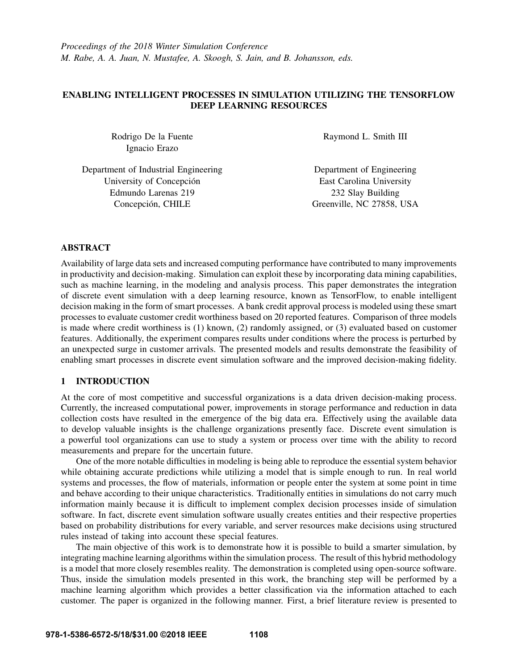## ENABLING INTELLIGENT PROCESSES IN SIMULATION UTILIZING THE TENSORFLOW DEEP LEARNING RESOURCES

Rodrigo De la Fuente Ignacio Erazo

Raymond L. Smith III

Department of Industrial Engineering University of Concepción Edmundo Larenas 219 Concepción, CHILE

Department of Engineering East Carolina University 232 Slay Building Greenville, NC 27858, USA

## ABSTRACT

Availability of large data sets and increased computing performance have contributed to many improvements in productivity and decision-making. Simulation can exploit these by incorporating data mining capabilities, such as machine learning, in the modeling and analysis process. This paper demonstrates the integration of discrete event simulation with a deep learning resource, known as TensorFlow, to enable intelligent decision making in the form of smart processes. A bank credit approval process is modeled using these smart processes to evaluate customer credit worthiness based on 20 reported features. Comparison of three models is made where credit worthiness is (1) known, (2) randomly assigned, or (3) evaluated based on customer features. Additionally, the experiment compares results under conditions where the process is perturbed by an unexpected surge in customer arrivals. The presented models and results demonstrate the feasibility of enabling smart processes in discrete event simulation software and the improved decision-making fidelity.

## 1 INTRODUCTION

At the core of most competitive and successful organizations is a data driven decision-making process. Currently, the increased computational power, improvements in storage performance and reduction in data collection costs have resulted in the emergence of the big data era. Effectively using the available data to develop valuable insights is the challenge organizations presently face. Discrete event simulation is a powerful tool organizations can use to study a system or process over time with the ability to record measurements and prepare for the uncertain future.

One of the more notable difficulties in modeling is being able to reproduce the essential system behavior while obtaining accurate predictions while utilizing a model that is simple enough to run. In real world systems and processes, the flow of materials, information or people enter the system at some point in time and behave according to their unique characteristics. Traditionally entities in simulations do not carry much information mainly because it is difficult to implement complex decision processes inside of simulation software. In fact, discrete event simulation software usually creates entities and their respective properties based on probability distributions for every variable, and server resources make decisions using structured rules instead of taking into account these special features.

The main objective of this work is to demonstrate how it is possible to build a smarter simulation, by integrating machine learning algorithms within the simulation process. The result of this hybrid methodology is a model that more closely resembles reality. The demonstration is completed using open-source software. Thus, inside the simulation models presented in this work, the branching step will be performed by a machine learning algorithm which provides a better classification via the information attached to each customer. The paper is organized in the following manner. First, a brief literature review is presented to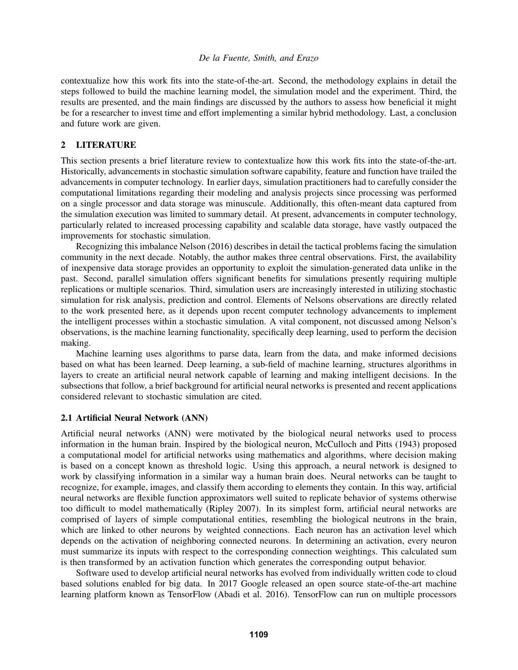contextualize how this work fits into the state-of-the-art. Second, the methodology explains in detail the steps followed to build the machine learning model, the simulation model and the experiment. Third, the results are presented, and the main findings are discussed by the authors to assess how beneficial it might be for a researcher to invest time and effort implementing a similar hybrid methodology. Last, a conclusion and future work are given.

## 2 LITERATURE

This section presents a brief literature review to contextualize how this work fits into the state-of-the-art. Historically, advancements in stochastic simulation software capability, feature and function have trailed the advancements in computer technology. In earlier days, simulation practitioners had to carefully consider the computational limitations regarding their modeling and analysis projects since processing was performed on a single processor and data storage was minuscule. Additionally, this often-meant data captured from the simulation execution was limited to summary detail. At present, advancements in computer technology, particularly related to increased processing capability and scalable data storage, have vastly outpaced the improvements for stochastic simulation.

Recognizing this imbalance Nelson (2016) describes in detail the tactical problems facing the simulation community in the next decade. Notably, the author makes three central observations. First, the availability of inexpensive data storage provides an opportunity to exploit the simulation-generated data unlike in the past. Second, parallel simulation offers significant benefits for simulations presently requiring multiple replications or multiple scenarios. Third, simulation users are increasingly interested in utilizing stochastic simulation for risk analysis, prediction and control. Elements of Nelsons observations are directly related to the work presented here, as it depends upon recent computer technology advancements to implement the intelligent processes within a stochastic simulation. A vital component, not discussed among Nelson's observations, is the machine learning functionality, specifically deep learning, used to perform the decision making.

Machine learning uses algorithms to parse data, learn from the data, and make informed decisions based on what has been learned. Deep learning, a sub-field of machine learning, structures algorithms in layers to create an artificial neural network capable of learning and making intelligent decisions. In the subsections that follow, a brief background for artificial neural networks is presented and recent applications considered relevant to stochastic simulation are cited.

### 2.1 Artificial Neural Network (ANN)

Artificial neural networks (ANN) were motivated by the biological neural networks used to process information in the human brain. Inspired by the biological neuron, McCulloch and Pitts (1943) proposed a computational model for artificial networks using mathematics and algorithms, where decision making is based on a concept known as threshold logic. Using this approach, a neural network is designed to work by classifying information in a similar way a human brain does. Neural networks can be taught to recognize, for example, images, and classify them according to elements they contain. In this way, artificial neural networks are flexible function approximators well suited to replicate behavior of systems otherwise too difficult to model mathematically (Ripley 2007). In its simplest form, artificial neural networks are comprised of layers of simple computational entities, resembling the biological neutrons in the brain, which are linked to other neurons by weighted connections. Each neuron has an activation level which depends on the activation of neighboring connected neurons. In determining an activation, every neuron must summarize its inputs with respect to the corresponding connection weightings. This calculated sum is then transformed by an activation function which generates the corresponding output behavior.

Software used to develop artificial neural networks has evolved from individually written code to cloud based solutions enabled for big data. In 2017 Google released an open source state-of-the-art machine learning platform known as TensorFlow (Abadi et al. 2016). TensorFlow can run on multiple processors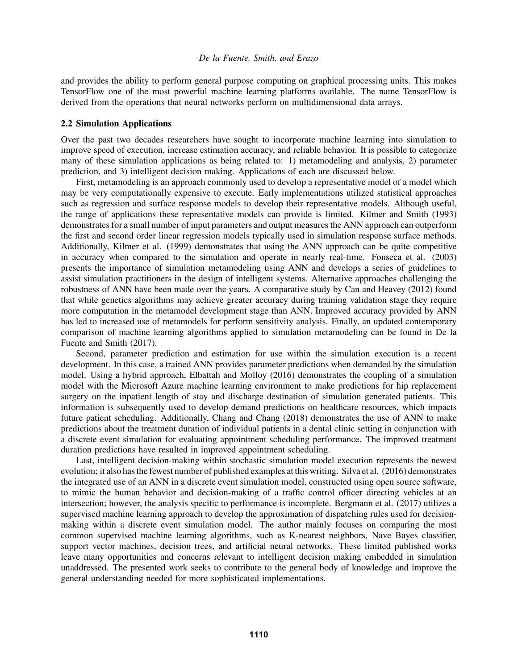and provides the ability to perform general purpose computing on graphical processing units. This makes TensorFlow one of the most powerful machine learning platforms available. The name TensorFlow is derived from the operations that neural networks perform on multidimensional data arrays.

#### 2.2 Simulation Applications

Over the past two decades researchers have sought to incorporate machine learning into simulation to improve speed of execution, increase estimation accuracy, and reliable behavior. It is possible to categorize many of these simulation applications as being related to: 1) metamodeling and analysis, 2) parameter prediction, and 3) intelligent decision making. Applications of each are discussed below.

First, metamodeling is an approach commonly used to develop a representative model of a model which may be very computationally expensive to execute. Early implementations utilized statistical approaches such as regression and surface response models to develop their representative models. Although useful, the range of applications these representative models can provide is limited. Kilmer and Smith (1993) demonstrates for a small number of input parameters and output measures the ANN approach can outperform the first and second order linear regression models typically used in simulation response surface methods. Additionally, Kilmer et al. (1999) demonstrates that using the ANN approach can be quite competitive in accuracy when compared to the simulation and operate in nearly real-time. Fonseca et al. (2003) presents the importance of simulation metamodeling using ANN and develops a series of guidelines to assist simulation practitioners in the design of intelligent systems. Alternative approaches challenging the robustness of ANN have been made over the years. A comparative study by Can and Heavey (2012) found that while genetics algorithms may achieve greater accuracy during training validation stage they require more computation in the metamodel development stage than ANN. Improved accuracy provided by ANN has led to increased use of metamodels for perform sensitivity analysis. Finally, an updated contemporary comparison of machine learning algorithms applied to simulation metamodeling can be found in De la Fuente and Smith (2017).

Second, parameter prediction and estimation for use within the simulation execution is a recent development. In this case, a trained ANN provides parameter predictions when demanded by the simulation model. Using a hybrid approach, Elbattah and Molloy (2016) demonstrates the coupling of a simulation model with the Microsoft Azure machine learning environment to make predictions for hip replacement surgery on the inpatient length of stay and discharge destination of simulation generated patients. This information is subsequently used to develop demand predictions on healthcare resources, which impacts future patient scheduling. Additionally, Chang and Chang (2018) demonstrates the use of ANN to make predictions about the treatment duration of individual patients in a dental clinic setting in conjunction with a discrete event simulation for evaluating appointment scheduling performance. The improved treatment duration predictions have resulted in improved appointment scheduling.

Last, intelligent decision-making within stochastic simulation model execution represents the newest evolution; it also has the fewest number of published examples at this writing. Silva et al. (2016) demonstrates the integrated use of an ANN in a discrete event simulation model, constructed using open source software, to mimic the human behavior and decision-making of a traffic control officer directing vehicles at an intersection; however, the analysis specific to performance is incomplete. Bergmann et al. (2017) utilizes a supervised machine learning approach to develop the approximation of dispatching rules used for decisionmaking within a discrete event simulation model. The author mainly focuses on comparing the most common supervised machine learning algorithms, such as K-nearest neighbors, Nave Bayes classifier, support vector machines, decision trees, and artificial neural networks. These limited published works leave many opportunities and concerns relevant to intelligent decision making embedded in simulation unaddressed. The presented work seeks to contribute to the general body of knowledge and improve the general understanding needed for more sophisticated implementations.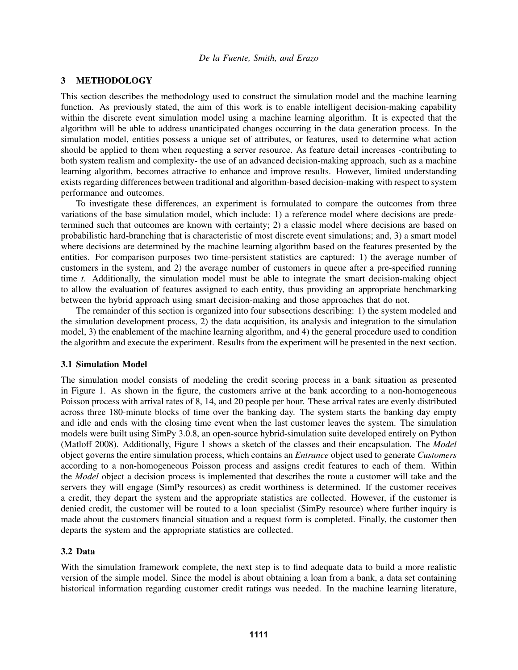#### 3 METHODOLOGY

This section describes the methodology used to construct the simulation model and the machine learning function. As previously stated, the aim of this work is to enable intelligent decision-making capability within the discrete event simulation model using a machine learning algorithm. It is expected that the algorithm will be able to address unanticipated changes occurring in the data generation process. In the simulation model, entities possess a unique set of attributes, or features, used to determine what action should be applied to them when requesting a server resource. As feature detail increases -contributing to both system realism and complexity- the use of an advanced decision-making approach, such as a machine learning algorithm, becomes attractive to enhance and improve results. However, limited understanding exists regarding differences between traditional and algorithm-based decision-making with respect to system performance and outcomes.

To investigate these differences, an experiment is formulated to compare the outcomes from three variations of the base simulation model, which include: 1) a reference model where decisions are predetermined such that outcomes are known with certainty; 2) a classic model where decisions are based on probabilistic hard-branching that is characteristic of most discrete event simulations; and, 3) a smart model where decisions are determined by the machine learning algorithm based on the features presented by the entities. For comparison purposes two time-persistent statistics are captured: 1) the average number of customers in the system, and 2) the average number of customers in queue after a pre-specified running time *t*. Additionally, the simulation model must be able to integrate the smart decision-making object to allow the evaluation of features assigned to each entity, thus providing an appropriate benchmarking between the hybrid approach using smart decision-making and those approaches that do not.

The remainder of this section is organized into four subsections describing: 1) the system modeled and the simulation development process, 2) the data acquisition, its analysis and integration to the simulation model, 3) the enablement of the machine learning algorithm, and 4) the general procedure used to condition the algorithm and execute the experiment. Results from the experiment will be presented in the next section.

#### 3.1 Simulation Model

The simulation model consists of modeling the credit scoring process in a bank situation as presented in Figure 1. As shown in the figure, the customers arrive at the bank according to a non-homogeneous Poisson process with arrival rates of 8, 14, and 20 people per hour. These arrival rates are evenly distributed across three 180-minute blocks of time over the banking day. The system starts the banking day empty and idle and ends with the closing time event when the last customer leaves the system. The simulation models were built using SimPy 3.0.8, an open-source hybrid-simulation suite developed entirely on Python (Matloff 2008). Additionally, Figure 1 shows a sketch of the classes and their encapsulation. The *Model* object governs the entire simulation process, which contains an *Entrance* object used to generate *Customers* according to a non-homogeneous Poisson process and assigns credit features to each of them. Within the *Model* object a decision process is implemented that describes the route a customer will take and the servers they will engage (SimPy resources) as credit worthiness is determined. If the customer receives a credit, they depart the system and the appropriate statistics are collected. However, if the customer is denied credit, the customer will be routed to a loan specialist (SimPy resource) where further inquiry is made about the customers financial situation and a request form is completed. Finally, the customer then departs the system and the appropriate statistics are collected.

### 3.2 Data

With the simulation framework complete, the next step is to find adequate data to build a more realistic version of the simple model. Since the model is about obtaining a loan from a bank, a data set containing historical information regarding customer credit ratings was needed. In the machine learning literature,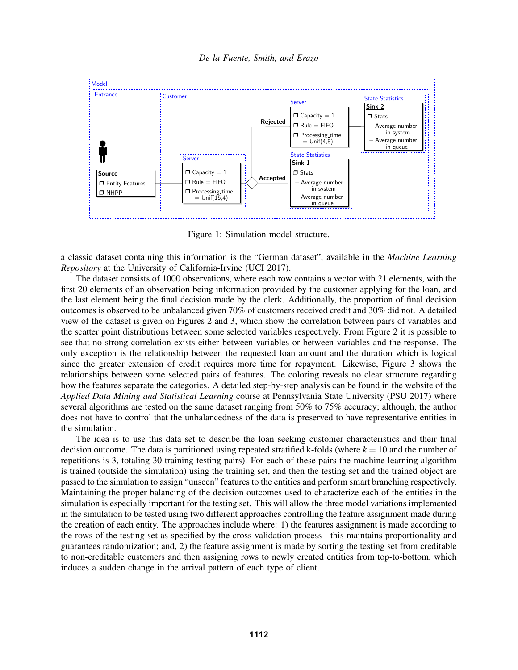

Figure 1: Simulation model structure.

a classic dataset containing this information is the "German dataset", available in the *Machine Learning Repository* at the University of California-Irvine (UCI 2017).

The dataset consists of 1000 observations, where each row contains a vector with 21 elements, with the first 20 elements of an observation being information provided by the customer applying for the loan, and the last element being the final decision made by the clerk. Additionally, the proportion of final decision outcomes is observed to be unbalanced given 70% of customers received credit and 30% did not. A detailed view of the dataset is given on Figures 2 and 3, which show the correlation between pairs of variables and the scatter point distributions between some selected variables respectively. From Figure 2 it is possible to see that no strong correlation exists either between variables or between variables and the response. The only exception is the relationship between the requested loan amount and the duration which is logical since the greater extension of credit requires more time for repayment. Likewise, Figure 3 shows the relationships between some selected pairs of features. The coloring reveals no clear structure regarding how the features separate the categories. A detailed step-by-step analysis can be found in the website of the *Applied Data Mining and Statistical Learning* course at Pennsylvania State University (PSU 2017) where several algorithms are tested on the same dataset ranging from 50% to 75% accuracy; although, the author does not have to control that the unbalancedness of the data is preserved to have representative entities in the simulation.

The idea is to use this data set to describe the loan seeking customer characteristics and their final decision outcome. The data is partitioned using repeated stratified k-folds (where  $k = 10$  and the number of repetitions is 3, totaling 30 training-testing pairs). For each of these pairs the machine learning algorithm is trained (outside the simulation) using the training set, and then the testing set and the trained object are passed to the simulation to assign "unseen" features to the entities and perform smart branching respectively. Maintaining the proper balancing of the decision outcomes used to characterize each of the entities in the simulation is especially important for the testing set. This will allow the three model variations implemented in the simulation to be tested using two different approaches controlling the feature assignment made during the creation of each entity. The approaches include where: 1) the features assignment is made according to the rows of the testing set as specified by the cross-validation process - this maintains proportionality and guarantees randomization; and, 2) the feature assignment is made by sorting the testing set from creditable to non-creditable customers and then assigning rows to newly created entities from top-to-bottom, which induces a sudden change in the arrival pattern of each type of client.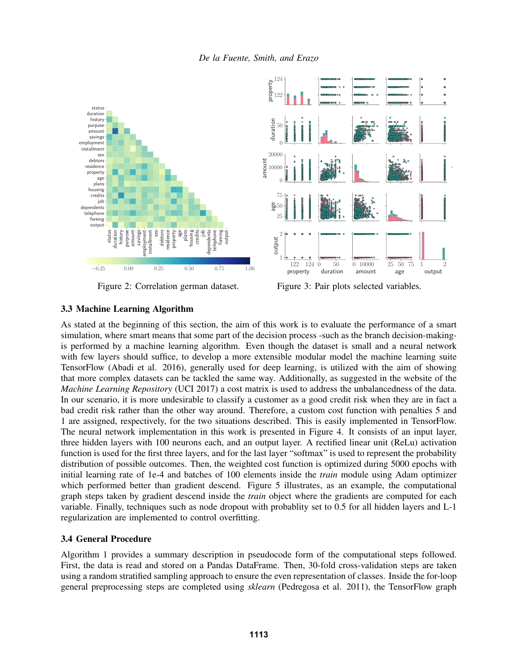

Figure 2: Correlation german dataset.

Figure 3: Pair plots selected variables.

output

# 3.3 Machine Learning Algorithm

As stated at the beginning of this section, the aim of this work is to evaluate the performance of a smart simulation, where smart means that some part of the decision process -such as the branch decision-makingis performed by a machine learning algorithm. Even though the dataset is small and a neural network with few layers should suffice, to develop a more extensible modular model the machine learning suite TensorFlow (Abadi et al. 2016), generally used for deep learning, is utilized with the aim of showing that more complex datasets can be tackled the same way. Additionally, as suggested in the website of the *Machine Learning Repository* (UCI 2017) a cost matrix is used to address the unbalancedness of the data. In our scenario, it is more undesirable to classify a customer as a good credit risk when they are in fact a bad credit risk rather than the other way around. Therefore, a custom cost function with penalties 5 and 1 are assigned, respectively, for the two situations described. This is easily implemented in TensorFlow. The neural network implementation in this work is presented in Figure 4. It consists of an input layer, three hidden layers with 100 neurons each, and an output layer. A rectified linear unit (ReLu) activation function is used for the first three layers, and for the last layer "softmax" is used to represent the probability distribution of possible outcomes. Then, the weighted cost function is optimized during 5000 epochs with initial learning rate of 1e-4 and batches of 100 elements inside the *train* module using Adam optimizer which performed better than gradient descend. Figure 5 illustrates, as an example, the computational graph steps taken by gradient descend inside the *train* object where the gradients are computed for each variable. Finally, techniques such as node dropout with probablity set to 0.5 for all hidden layers and L-1 regularization are implemented to control overfitting.

## 3.4 General Procedure

Algorithm 1 provides a summary description in pseudocode form of the computational steps followed. First, the data is read and stored on a Pandas DataFrame. Then, 30-fold cross-validation steps are taken using a random stratified sampling approach to ensure the even representation of classes. Inside the for-loop general preprocessing steps are completed using *sklearn* (Pedregosa et al. 2011), the TensorFlow graph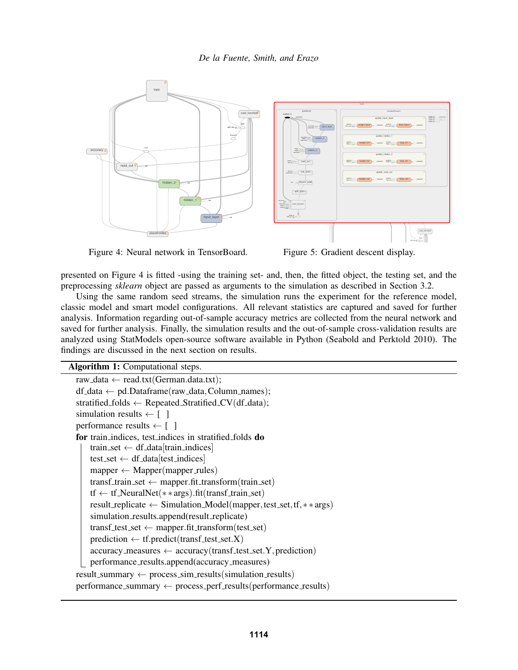

Figure 4: Neural network in TensorBoard.

Figure 5: Gradient descent display.

presented on Figure 4 is fitted -using the training set- and, then, the fitted object, the testing set, and the preprocessing *sklearn* object are passed as arguments to the simulation as described in Section 3.2.

analysis. Information regarding out-of-sample accuracy metrics are collected from the neural network and classic model and smart model configurations. All relevant statistics are captured and saved for further Using the same random seed streams, the simulation runs the experiment for the reference model, saved for further analysis. Finally, the simulation results and the out-of-sample cross-validation results are analyzed using StatModels open-source software available in Python (Seabold and Perktold 2010). The findings are discussed in the next section on results.

Algorithm 1: Computational steps.

```
raw_data \leftarrow read.txt(German.data.txt);
df_data \leftarrow pd.DataFrame(raw_data, Column\_names);stratified folds \leftarrow Repeated Stratified CV(df data);
simulation results \leftarrow [ ]
performance results \leftarrow \lceil \ \ \rceilfor train indices, test indices in stratified folds do
    train_set \leftarrow df_data[train_indices]
    test_set \leftarrow df_data[test_indices]
    mapper \leftarrow Mapper(mapper_rules)transf_train_set \leftarrow mapper.fit_transform(train_set)
    tf \leftarrow tf_NeuralNet(**args).fit(transf_train_set)
    result replicate ← Simulation Model(mapper,test set,tf,∗ ∗ args)
    simulation_results.append(result_replicate)
    transf test set \leftarrow mapper.fit transform(test set)
    prediction \leftarrow tf.predict(trainsf_test_set.X)accuracy measures \leftarrow accuracy (transf test set. Y, prediction)
    performance_results.append(accuracy_measures)
result\_summary \leftarrow process\_sim\_results(simulation\_results)performance\_summary \leftarrow process\_perf\_results(performance\_results)
```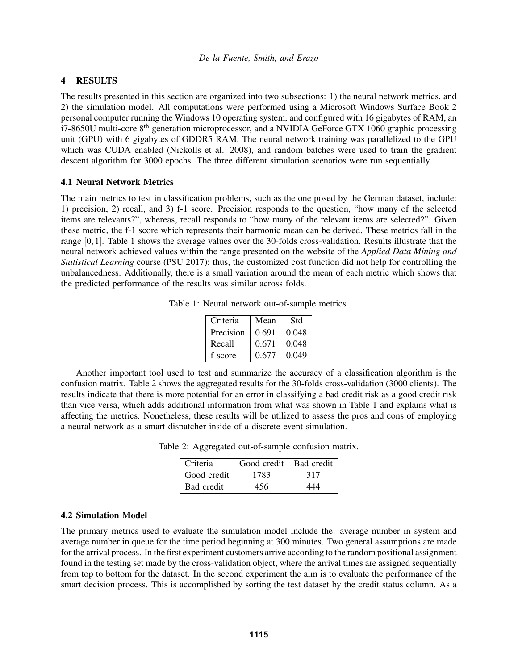## 4 RESULTS

The results presented in this section are organized into two subsections: 1) the neural network metrics, and 2) the simulation model. All computations were performed using a Microsoft Windows Surface Book 2 personal computer running the Windows 10 operating system, and configured with 16 gigabytes of RAM, an  $i7-8650U$  multi-core  $8<sup>th</sup>$  generation microprocessor, and a NVIDIA GeForce GTX 1060 graphic processing unit (GPU) with 6 gigabytes of GDDR5 RAM. The neural network training was parallelized to the GPU which was CUDA enabled (Nickolls et al. 2008), and random batches were used to train the gradient descent algorithm for 3000 epochs. The three different simulation scenarios were run sequentially.

## 4.1 Neural Network Metrics

The main metrics to test in classification problems, such as the one posed by the German dataset, include: 1) precision, 2) recall, and 3) f-1 score. Precision responds to the question, "how many of the selected items are relevants?", whereas, recall responds to "how many of the relevant items are selected?". Given these metric, the f-1 score which represents their harmonic mean can be derived. These metrics fall in the range [0,1]. Table 1 shows the average values over the 30-folds cross-validation. Results illustrate that the neural network achieved values within the range presented on the website of the *Applied Data Mining and Statistical Learning* course (PSU 2017); thus, the customized cost function did not help for controlling the unbalancedness. Additionally, there is a small variation around the mean of each metric which shows that the predicted performance of the results was similar across folds.

| Table 1: Neural network out-of-sample metrics. |  |  |  |
|------------------------------------------------|--|--|--|
|------------------------------------------------|--|--|--|

| Criteria  | Mean  | Std   |
|-----------|-------|-------|
| Precision | 0.691 | 0.048 |
| Recall    | 0.671 | 0.048 |
| f-score   | 0.677 | 0.049 |

Another important tool used to test and summarize the accuracy of a classification algorithm is the confusion matrix. Table 2 shows the aggregated results for the 30-folds cross-validation (3000 clients). The results indicate that there is more potential for an error in classifying a bad credit risk as a good credit risk than vice versa, which adds additional information from what was shown in Table 1 and explains what is affecting the metrics. Nonetheless, these results will be utilized to assess the pros and cons of employing a neural network as a smart dispatcher inside of a discrete event simulation.

Table 2: Aggregated out-of-sample confusion matrix.

| Criteria    | Good credit   Bad credit |     |
|-------------|--------------------------|-----|
| Good credit | 1783                     | 317 |
| Bad credit  | 456                      | 444 |

### 4.2 Simulation Model

The primary metrics used to evaluate the simulation model include the: average number in system and average number in queue for the time period beginning at 300 minutes. Two general assumptions are made for the arrival process. In the first experiment customers arrive according to the random positional assignment found in the testing set made by the cross-validation object, where the arrival times are assigned sequentially from top to bottom for the dataset. In the second experiment the aim is to evaluate the performance of the smart decision process. This is accomplished by sorting the test dataset by the credit status column. As a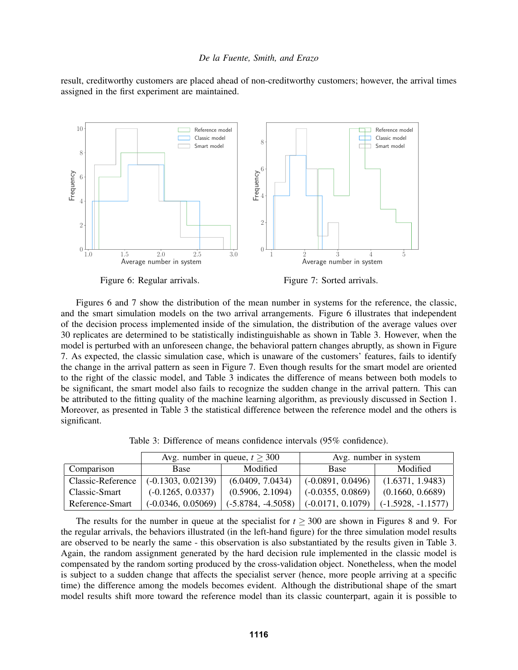result, creditworthy customers are placed ahead of non-creditworthy customers; however, the arrival times assigned in the first experiment are maintained.



Figure 6: Regular arrivals.

Figure 7: Sorted arrivals.

Figures 6 and 7 show the distribution of the mean number in systems for the reference, the classic, and the smart simulation models on the two arrival arrangements. Figure 6 illustrates that independent of the decision process implemented inside of the simulation, the distribution of the average values over 30 replicates are determined to be statistically indistinguishable as shown in Table 3. However, when the model is perturbed with an unforeseen change, the behavioral pattern changes abruptly, as shown in Figure 7. As expected, the classic simulation case, which is unaware of the customers' features, fails to identify the change in the arrival pattern as seen in Figure 7. Even though results for the smart model are oriented to the right of the classic model, and Table 3 indicates the difference of means between both models to be significant, the smart model also fails to recognize the sudden change in the arrival pattern. This can be attributed to the fitting quality of the machine learning algorithm, as previously discussed in Section 1. Moreover, as presented in Table 3 the statistical difference between the reference model and the others is significant.

Table 3: Difference of means confidence intervals (95% confidence).

|                   | Avg. number in queue, $t \geq 300$ |                      | Avg. number in system |                      |
|-------------------|------------------------------------|----------------------|-----------------------|----------------------|
| Comparison        | Base                               | Modified             | <b>Base</b>           | Modified             |
| Classic-Reference | $(-0.1303, 0.02139)$               | (6.0409, 7.0434)     | $(-0.0891, 0.0496)$   | (1.6371, 1.9483)     |
| Classic-Smart     | $(-0.1265, 0.0337)$                | (0.5906, 2.1094)     | $(-0.0355, 0.0869)$   | (0.1660, 0.6689)     |
| Reference-Smart   | $(-0.0346, 0.05069)$               | $(-5.8784, -4.5058)$ | $(-0.0171, 0.1079)$   | $(-1.5928, -1.1577)$ |

The results for the number in queue at the specialist for  $t \geq 300$  are shown in Figures 8 and 9. For the regular arrivals, the behaviors illustrated (in the left-hand figure) for the three simulation model results are observed to be nearly the same - this observation is also substantiated by the results given in Table 3. Again, the random assignment generated by the hard decision rule implemented in the classic model is compensated by the random sorting produced by the cross-validation object. Nonetheless, when the model is subject to a sudden change that affects the specialist server (hence, more people arriving at a specific time) the difference among the models becomes evident. Although the distributional shape of the smart model results shift more toward the reference model than its classic counterpart, again it is possible to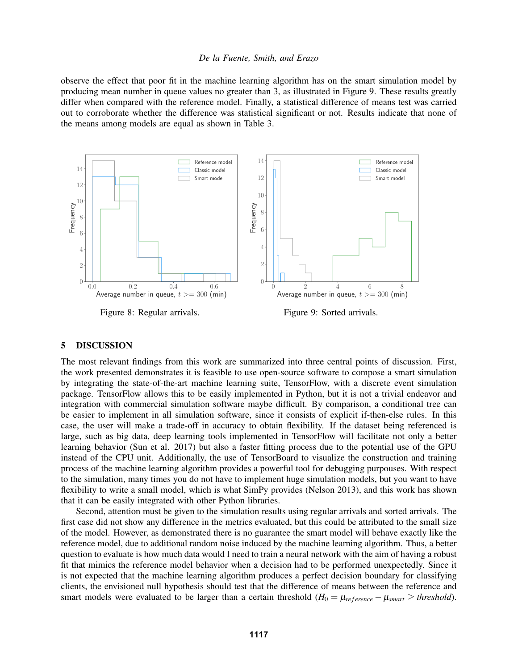observe the effect that poor fit in the machine learning algorithm has on the smart simulation model by producing mean number in queue values no greater than 3, as illustrated in Figure 9. These results greatly differ when compared with the reference model. Finally, a statistical difference of means test was carried out to corroborate whether the difference was statistical significant or not. Results indicate that none of the means among models are equal as shown in Table 3.



Figure 8: Regular arrivals.

Figure 9: Sorted arrivals.

### 5 DISCUSSION

The most relevant findings from this work are summarized into three central points of discussion. First, the work presented demonstrates it is feasible to use open-source software to compose a smart simulation by integrating the state-of-the-art machine learning suite, TensorFlow, with a discrete event simulation package. TensorFlow allows this to be easily implemented in Python, but it is not a trivial endeavor and integration with commercial simulation software maybe difficult. By comparison, a conditional tree can be easier to implement in all simulation software, since it consists of explicit if-then-else rules. In this case, the user will make a trade-off in accuracy to obtain flexibility. If the dataset being referenced is large, such as big data, deep learning tools implemented in TensorFlow will facilitate not only a better learning behavior (Sun et al. 2017) but also a faster fitting process due to the potential use of the GPU instead of the CPU unit. Additionally, the use of TensorBoard to visualize the construction and training process of the machine learning algorithm provides a powerful tool for debugging purpouses. With respect to the simulation, many times you do not have to implement huge simulation models, but you want to have flexibility to write a small model, which is what SimPy provides (Nelson 2013), and this work has shown that it can be easily integrated with other Python libraries.

Second, attention must be given to the simulation results using regular arrivals and sorted arrivals. The first case did not show any difference in the metrics evaluated, but this could be attributed to the small size of the model. However, as demonstrated there is no guarantee the smart model will behave exactly like the reference model, due to additional random noise induced by the machine learning algorithm. Thus, a better question to evaluate is how much data would I need to train a neural network with the aim of having a robust fit that mimics the reference model behavior when a decision had to be performed unexpectedly. Since it is not expected that the machine learning algorithm produces a perfect decision boundary for classifying clients, the envisioned null hypothesis should test that the difference of means between the reference and smart models were evaluated to be larger than a certain threshold ( $H_0 = \mu_{reference} - \mu_{smart} \geq threshold$ ).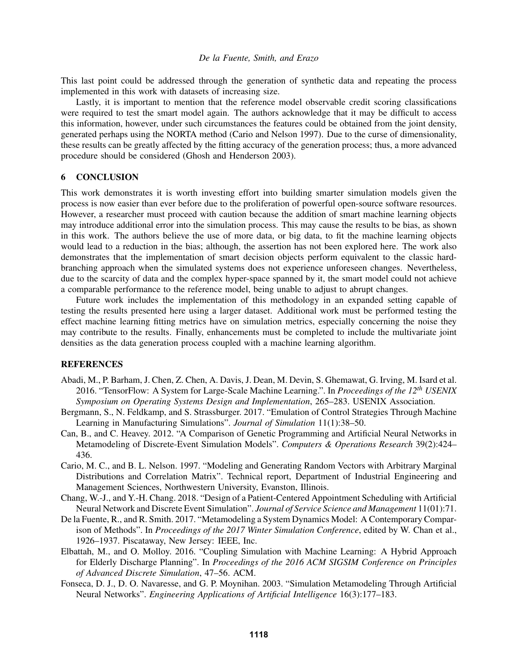This last point could be addressed through the generation of synthetic data and repeating the process implemented in this work with datasets of increasing size.

Lastly, it is important to mention that the reference model observable credit scoring classifications were required to test the smart model again. The authors acknowledge that it may be difficult to access this information, however, under such circumstances the features could be obtained from the joint density, generated perhaps using the NORTA method (Cario and Nelson 1997). Due to the curse of dimensionality, these results can be greatly affected by the fitting accuracy of the generation process; thus, a more advanced procedure should be considered (Ghosh and Henderson 2003).

### 6 CONCLUSION

This work demonstrates it is worth investing effort into building smarter simulation models given the process is now easier than ever before due to the proliferation of powerful open-source software resources. However, a researcher must proceed with caution because the addition of smart machine learning objects may introduce additional error into the simulation process. This may cause the results to be bias, as shown in this work. The authors believe the use of more data, or big data, to fit the machine learning objects would lead to a reduction in the bias; although, the assertion has not been explored here. The work also demonstrates that the implementation of smart decision objects perform equivalent to the classic hardbranching approach when the simulated systems does not experience unforeseen changes. Nevertheless, due to the scarcity of data and the complex hyper-space spanned by it, the smart model could not achieve a comparable performance to the reference model, being unable to adjust to abrupt changes.

Future work includes the implementation of this methodology in an expanded setting capable of testing the results presented here using a larger dataset. Additional work must be performed testing the effect machine learning fitting metrics have on simulation metrics, especially concerning the noise they may contribute to the results. Finally, enhancements must be completed to include the multivariate joint densities as the data generation process coupled with a machine learning algorithm.

#### **REFERENCES**

- Abadi, M., P. Barham, J. Chen, Z. Chen, A. Davis, J. Dean, M. Devin, S. Ghemawat, G. Irving, M. Isard et al. 2016. "TensorFlow: A System for Large-Scale Machine Learning.". In *Proceedings of the 12th USENIX Symposium on Operating Systems Design and Implementation*, 265–283. USENIX Association.
- Bergmann, S., N. Feldkamp, and S. Strassburger. 2017. "Emulation of Control Strategies Through Machine Learning in Manufacturing Simulations". *Journal of Simulation* 11(1):38–50.
- Can, B., and C. Heavey. 2012. "A Comparison of Genetic Programming and Artificial Neural Networks in Metamodeling of Discrete-Event Simulation Models". *Computers & Operations Research* 39(2):424– 436.
- Cario, M. C., and B. L. Nelson. 1997. "Modeling and Generating Random Vectors with Arbitrary Marginal Distributions and Correlation Matrix". Technical report, Department of Industrial Engineering and Management Sciences, Northwestern University, Evanston, Illinois.
- Chang, W.-J., and Y.-H. Chang. 2018. "Design of a Patient-Centered Appointment Scheduling with Artificial Neural Network and Discrete Event Simulation". *Journal of Service Science and Management* 11(01):71.
- De la Fuente, R., and R. Smith. 2017. "Metamodeling a System Dynamics Model: A Contemporary Comparison of Methods". In *Proceedings of the 2017 Winter Simulation Conference*, edited by W. Chan et al., 1926–1937. Piscataway, New Jersey: IEEE, Inc.
- Elbattah, M., and O. Molloy. 2016. "Coupling Simulation with Machine Learning: A Hybrid Approach for Elderly Discharge Planning". In *Proceedings of the 2016 ACM SIGSIM Conference on Principles of Advanced Discrete Simulation*, 47–56. ACM.
- Fonseca, D. J., D. O. Navaresse, and G. P. Moynihan. 2003. "Simulation Metamodeling Through Artificial Neural Networks". *Engineering Applications of Artificial Intelligence* 16(3):177–183.